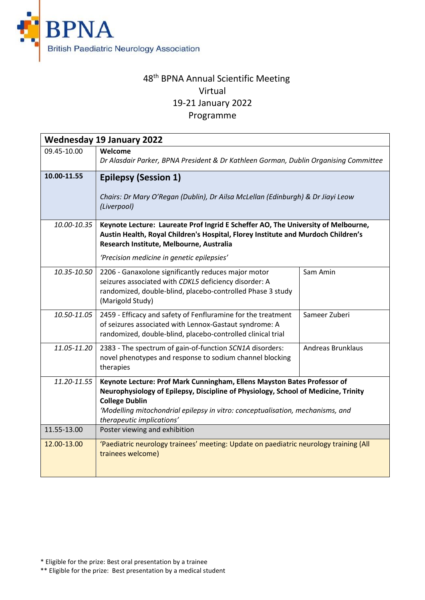

## 48<sup>th</sup> BPNA Annual Scientific Meeting Virtual 19-21 January 2022 Programme

| <b>Wednesday 19 January 2022</b> |                                                                                                                                                                                                                                                                                                        |                          |
|----------------------------------|--------------------------------------------------------------------------------------------------------------------------------------------------------------------------------------------------------------------------------------------------------------------------------------------------------|--------------------------|
| 09.45-10.00                      | Welcome<br>Dr Alasdair Parker, BPNA President & Dr Kathleen Gorman, Dublin Organising Committee                                                                                                                                                                                                        |                          |
| 10.00-11.55                      | <b>Epilepsy (Session 1)</b><br>Chairs: Dr Mary O'Regan (Dublin), Dr Ailsa McLellan (Edinburgh) & Dr Jiayi Leow<br>(Liverpool)                                                                                                                                                                          |                          |
| 10.00-10.35                      | Keynote Lecture: Laureate Prof Ingrid E Scheffer AO, The University of Melbourne,<br>Austin Health, Royal Children's Hospital, Florey Institute and Murdoch Children's<br>Research Institute, Melbourne, Australia<br>'Precision medicine in genetic epilepsies'                                       |                          |
| 10.35-10.50                      | 2206 - Ganaxolone significantly reduces major motor<br>seizures associated with CDKL5 deficiency disorder: A<br>randomized, double-blind, placebo-controlled Phase 3 study<br>(Marigold Study)                                                                                                         | Sam Amin                 |
| 10.50-11.05                      | 2459 - Efficacy and safety of Fenfluramine for the treatment<br>of seizures associated with Lennox-Gastaut syndrome: A<br>randomized, double-blind, placebo-controlled clinical trial                                                                                                                  | Sameer Zuberi            |
| 11.05-11.20                      | 2383 - The spectrum of gain-of-function SCN1A disorders:<br>novel phenotypes and response to sodium channel blocking<br>therapies                                                                                                                                                                      | <b>Andreas Brunklaus</b> |
| 11.20-11.55                      | Keynote Lecture: Prof Mark Cunningham, Ellens Mayston Bates Professor of<br>Neurophysiology of Epilepsy, Discipline of Physiology, School of Medicine, Trinity<br><b>College Dublin</b><br>'Modelling mitochondrial epilepsy in vitro: conceptualisation, mechanisms, and<br>therapeutic implications' |                          |
| 11.55-13.00                      | Poster viewing and exhibition                                                                                                                                                                                                                                                                          |                          |
| 12.00-13.00                      | 'Paediatric neurology trainees' meeting: Update on paediatric neurology training (All<br>trainees welcome)                                                                                                                                                                                             |                          |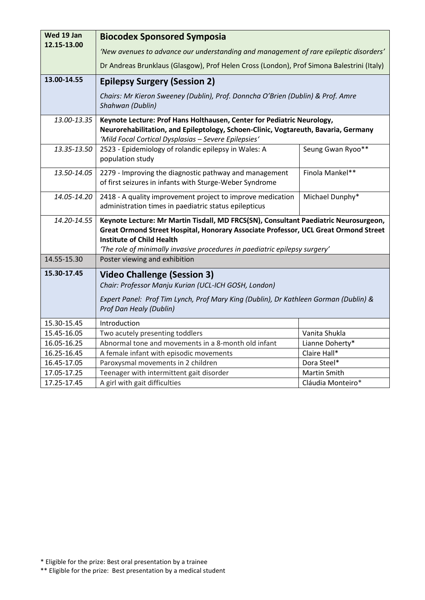| Wed 19 Jan  | <b>Biocodex Sponsored Symposia</b>                                                                                                                                                                                                                                                            |                   |
|-------------|-----------------------------------------------------------------------------------------------------------------------------------------------------------------------------------------------------------------------------------------------------------------------------------------------|-------------------|
| 12.15-13.00 | 'New avenues to advance our understanding and management of rare epileptic disorders'                                                                                                                                                                                                         |                   |
|             |                                                                                                                                                                                                                                                                                               |                   |
|             | Dr Andreas Brunklaus (Glasgow), Prof Helen Cross (London), Prof Simona Balestrini (Italy)                                                                                                                                                                                                     |                   |
| 13.00-14.55 | <b>Epilepsy Surgery (Session 2)</b>                                                                                                                                                                                                                                                           |                   |
|             | Chairs: Mr Kieron Sweeney (Dublin), Prof. Donncha O'Brien (Dublin) & Prof. Amre<br>Shahwan (Dublin)                                                                                                                                                                                           |                   |
| 13.00-13.35 | Keynote Lecture: Prof Hans Holthausen, Center for Pediatric Neurology,<br>Neurorehabilitation, and Epileptology, Schoen-Clinic, Vogtareuth, Bavaria, Germany<br>'Mild Focal Cortical Dysplasias - Severe Epilepsies'                                                                          |                   |
| 13.35-13.50 | 2523 - Epidemiology of rolandic epilepsy in Wales: A<br>population study                                                                                                                                                                                                                      | Seung Gwan Ryoo** |
| 13.50-14.05 | 2279 - Improving the diagnostic pathway and management<br>of first seizures in infants with Sturge-Weber Syndrome                                                                                                                                                                             | Finola Mankel**   |
| 14.05-14.20 | 2418 - A quality improvement project to improve medication<br>administration times in paediatric status epilepticus                                                                                                                                                                           | Michael Dunphy*   |
| 14.20-14.55 | Keynote Lecture: Mr Martin Tisdall, MD FRCS(SN), Consultant Paediatric Neurosurgeon,<br>Great Ormond Street Hospital, Honorary Associate Professor, UCL Great Ormond Street<br><b>Institute of Child Health</b><br>'The role of minimally invasive procedures in paediatric epilepsy surgery' |                   |
| 14.55-15.30 | Poster viewing and exhibition                                                                                                                                                                                                                                                                 |                   |
| 15.30-17.45 | <b>Video Challenge (Session 3)</b><br>Chair: Professor Manju Kurian (UCL-ICH GOSH, London)<br>Expert Panel: Prof Tim Lynch, Prof Mary King (Dublin), Dr Kathleen Gorman (Dublin) &<br>Prof Dan Healy (Dublin)                                                                                 |                   |
| 15.30-15.45 | Introduction                                                                                                                                                                                                                                                                                  |                   |
| 15.45-16.05 | Two acutely presenting toddlers                                                                                                                                                                                                                                                               | Vanita Shukla     |
| 16.05-16.25 | Abnormal tone and movements in a 8-month old infant                                                                                                                                                                                                                                           | Lianne Doherty*   |
| 16.25-16.45 | A female infant with episodic movements                                                                                                                                                                                                                                                       | Claire Hall*      |
| 16.45-17.05 | Paroxysmal movements in 2 children                                                                                                                                                                                                                                                            | Dora Steel*       |
| 17.05-17.25 | Teenager with intermittent gait disorder                                                                                                                                                                                                                                                      | Martin Smith      |
| 17.25-17.45 | A girl with gait difficulties                                                                                                                                                                                                                                                                 | Cláudia Monteiro* |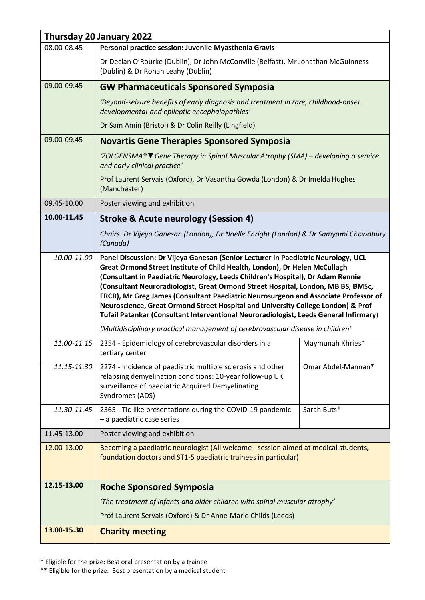|             | Thursday 20 January 2022                                                                                                                                                                                                                                                                                                                                                                                                                                                                                                                                                                                   |                    |
|-------------|------------------------------------------------------------------------------------------------------------------------------------------------------------------------------------------------------------------------------------------------------------------------------------------------------------------------------------------------------------------------------------------------------------------------------------------------------------------------------------------------------------------------------------------------------------------------------------------------------------|--------------------|
| 08.00-08.45 | Personal practice session: Juvenile Myasthenia Gravis                                                                                                                                                                                                                                                                                                                                                                                                                                                                                                                                                      |                    |
|             | Dr Declan O'Rourke (Dublin), Dr John McConville (Belfast), Mr Jonathan McGuinness<br>(Dublin) & Dr Ronan Leahy (Dublin)                                                                                                                                                                                                                                                                                                                                                                                                                                                                                    |                    |
| 09.00-09.45 | <b>GW Pharmaceuticals Sponsored Symposia</b>                                                                                                                                                                                                                                                                                                                                                                                                                                                                                                                                                               |                    |
|             | 'Beyond-seizure benefits of early diagnosis and treatment in rare, childhood-onset<br>developmental-and epileptic encephalopathies'                                                                                                                                                                                                                                                                                                                                                                                                                                                                        |                    |
|             | Dr Sam Amin (Bristol) & Dr Colin Reilly (Lingfield)                                                                                                                                                                                                                                                                                                                                                                                                                                                                                                                                                        |                    |
| 09.00-09.45 | <b>Novartis Gene Therapies Sponsored Symposia</b>                                                                                                                                                                                                                                                                                                                                                                                                                                                                                                                                                          |                    |
|             | 'ZOLGENSMA® V Gene Therapy in Spinal Muscular Atrophy (SMA) – developing a service<br>and early clinical practice'                                                                                                                                                                                                                                                                                                                                                                                                                                                                                         |                    |
|             | Prof Laurent Servais (Oxford), Dr Vasantha Gowda (London) & Dr Imelda Hughes<br>(Manchester)                                                                                                                                                                                                                                                                                                                                                                                                                                                                                                               |                    |
| 09.45-10.00 | Poster viewing and exhibition                                                                                                                                                                                                                                                                                                                                                                                                                                                                                                                                                                              |                    |
| 10.00-11.45 | <b>Stroke &amp; Acute neurology (Session 4)</b>                                                                                                                                                                                                                                                                                                                                                                                                                                                                                                                                                            |                    |
|             | Chairs: Dr Vijeya Ganesan (London), Dr Noelle Enright (London) & Dr Samyami Chowdhury<br>(Canada)                                                                                                                                                                                                                                                                                                                                                                                                                                                                                                          |                    |
| 10.00-11.00 | Panel Discussion: Dr Vijeya Ganesan (Senior Lecturer in Paediatric Neurology, UCL<br>Great Ormond Street Institute of Child Health, London), Dr Helen McCullagh<br>(Consultant in Paediatric Neurology, Leeds Children's Hospital), Dr Adam Rennie<br>(Consultant Neuroradiologist, Great Ormond Street Hospital, London, MB BS, BMSc,<br>FRCR), Mr Greg James (Consultant Paediatric Neurosurgeon and Associate Professor of<br>Neuroscience, Great Ormond Street Hospital and University College London) & Prof<br>Tufail Patankar (Consultant Interventional Neuroradiologist, Leeds General Infirmary) |                    |
|             | 'Multidisciplinary practical management of cerebrovascular disease in children'                                                                                                                                                                                                                                                                                                                                                                                                                                                                                                                            |                    |
| 11.00-11.15 | 2354 - Epidemiology of cerebrovascular disorders in a<br>tertiary center                                                                                                                                                                                                                                                                                                                                                                                                                                                                                                                                   | Maymunah Khries*   |
| 11.15-11.30 | 2274 - Incidence of paediatric multiple sclerosis and other<br>relapsing demyelination conditions: 10-year follow-up UK<br>surveillance of paediatric Acquired Demyelinating<br>Syndromes (ADS)                                                                                                                                                                                                                                                                                                                                                                                                            | Omar Abdel-Mannan* |
| 11.30-11.45 | 2365 - Tic-like presentations during the COVID-19 pandemic<br>- a paediatric case series                                                                                                                                                                                                                                                                                                                                                                                                                                                                                                                   | Sarah Buts*        |
| 11.45-13.00 | Poster viewing and exhibition                                                                                                                                                                                                                                                                                                                                                                                                                                                                                                                                                                              |                    |
| 12.00-13.00 | Becoming a paediatric neurologist (All welcome - session aimed at medical students,<br>foundation doctors and ST1-5 paediatric trainees in particular)                                                                                                                                                                                                                                                                                                                                                                                                                                                     |                    |
| 12.15-13.00 | <b>Roche Sponsored Symposia</b>                                                                                                                                                                                                                                                                                                                                                                                                                                                                                                                                                                            |                    |
|             | 'The treatment of infants and older children with spinal muscular atrophy'                                                                                                                                                                                                                                                                                                                                                                                                                                                                                                                                 |                    |
|             | Prof Laurent Servais (Oxford) & Dr Anne-Marie Childs (Leeds)                                                                                                                                                                                                                                                                                                                                                                                                                                                                                                                                               |                    |
| 13.00-15.30 | <b>Charity meeting</b>                                                                                                                                                                                                                                                                                                                                                                                                                                                                                                                                                                                     |                    |

\* Eligible for the prize: Best oral presentation by a trainee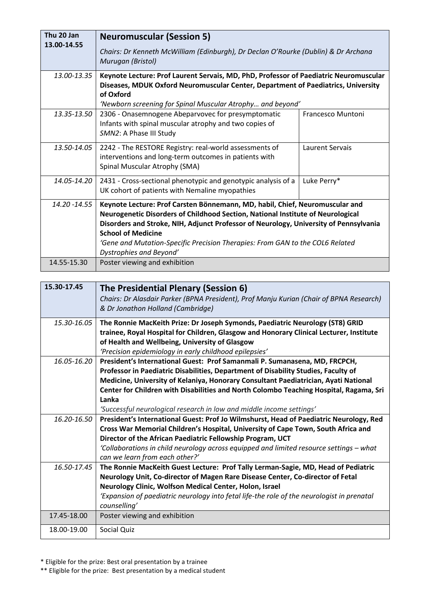| Thu 20 Jan<br>13.00-14.55 | <b>Neuromuscular (Session 5)</b>                                                                                                                                                                                                                                                                                                                                                                  |                   |
|---------------------------|---------------------------------------------------------------------------------------------------------------------------------------------------------------------------------------------------------------------------------------------------------------------------------------------------------------------------------------------------------------------------------------------------|-------------------|
|                           | Chairs: Dr Kenneth McWilliam (Edinburgh), Dr Declan O'Rourke (Dublin) & Dr Archana<br>Murugan (Bristol)                                                                                                                                                                                                                                                                                           |                   |
| 13.00-13.35               | Keynote Lecture: Prof Laurent Servais, MD, PhD, Professor of Paediatric Neuromuscular<br>Diseases, MDUK Oxford Neuromuscular Center, Department of Paediatrics, University<br>of Oxford<br>'Newborn screening for Spinal Muscular Atrophy and beyond'                                                                                                                                             |                   |
| 13.35-13.50               | 2306 - Onasemnogene Abeparvovec for presymptomatic<br>Infants with spinal muscular atrophy and two copies of<br>SMN2: A Phase III Study                                                                                                                                                                                                                                                           | Francesco Muntoni |
| 13.50-14.05               | 2242 - The RESTORE Registry: real-world assessments of<br>interventions and long-term outcomes in patients with<br>Spinal Muscular Atrophy (SMA)                                                                                                                                                                                                                                                  | Laurent Servais   |
| 14.05-14.20               | 2431 - Cross-sectional phenotypic and genotypic analysis of a<br>UK cohort of patients with Nemaline myopathies                                                                                                                                                                                                                                                                                   | Luke Perry*       |
| 14.20 -14.55              | Keynote Lecture: Prof Carsten Bönnemann, MD, habil, Chief, Neuromuscular and<br>Neurogenetic Disorders of Childhood Section, National Institute of Neurological<br>Disorders and Stroke, NIH, Adjunct Professor of Neurology, University of Pennsylvania<br><b>School of Medicine</b><br>'Gene and Mutation-Specific Precision Therapies: From GAN to the COL6 Related<br>Dystrophies and Beyond' |                   |
| 14.55-15.30               | Poster viewing and exhibition                                                                                                                                                                                                                                                                                                                                                                     |                   |

| 15.30-17.45 | The Presidential Plenary (Session 6)                                                       |  |
|-------------|--------------------------------------------------------------------------------------------|--|
|             | Chairs: Dr Alasdair Parker (BPNA President), Prof Manju Kurian (Chair of BPNA Research)    |  |
|             | & Dr Jonathon Holland (Cambridge)                                                          |  |
| 15.30-16.05 | The Ronnie MacKeith Prize: Dr Joseph Symonds, Paediatric Neurology (ST8) GRID              |  |
|             | trainee, Royal Hospital for Children, Glasgow and Honorary Clinical Lecturer, Institute    |  |
|             | of Health and Wellbeing, University of Glasgow                                             |  |
|             | 'Precision epidemiology in early childhood epilepsies'                                     |  |
| 16.05-16.20 | President's International Guest: Prof Samanmali P. Sumanasena, MD, FRCPCH,                 |  |
|             | Professor in Paediatric Disabilities, Department of Disability Studies, Faculty of         |  |
|             | Medicine, University of Kelaniya, Honorary Consultant Paediatrician, Ayati National        |  |
|             | Center for Children with Disabilities and North Colombo Teaching Hospital, Ragama, Sri     |  |
|             | Lanka                                                                                      |  |
|             | 'Successful neurological research in low and middle income settings'                       |  |
| 16.20-16.50 | President's International Guest: Prof Jo Wilmshurst, Head of Paediatric Neurology, Red     |  |
|             | Cross War Memorial Children's Hospital, University of Cape Town, South Africa and          |  |
|             | Director of the African Paediatric Fellowship Program, UCT                                 |  |
|             | 'Collaborations in child neurology across equipped and limited resource settings – what    |  |
|             | can we learn from each other?'                                                             |  |
| 16.50-17.45 | The Ronnie MacKeith Guest Lecture: Prof Tally Lerman-Sagie, MD, Head of Pediatric          |  |
|             | Neurology Unit, Co-director of Magen Rare Disease Center, Co-director of Fetal             |  |
|             | Neurology Clinic, Wolfson Medical Center, Holon, Israel                                    |  |
|             | 'Expansion of paediatric neurology into fetal life-the role of the neurologist in prenatal |  |
|             | counselling'                                                                               |  |
| 17.45-18.00 | Poster viewing and exhibition                                                              |  |
| 18.00-19.00 | Social Quiz                                                                                |  |
|             |                                                                                            |  |

\* Eligible for the prize: Best oral presentation by a trainee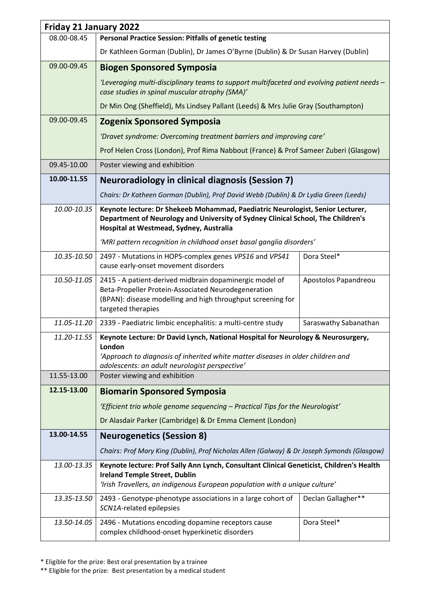| Friday 21 January 2022 |                                                                                                                                                                                                                                        |                       |
|------------------------|----------------------------------------------------------------------------------------------------------------------------------------------------------------------------------------------------------------------------------------|-----------------------|
| 08.00-08.45            | <b>Personal Practice Session: Pitfalls of genetic testing</b>                                                                                                                                                                          |                       |
|                        | Dr Kathleen Gorman (Dublin), Dr James O'Byrne (Dublin) & Dr Susan Harvey (Dublin)                                                                                                                                                      |                       |
| 09.00-09.45            | <b>Biogen Sponsored Symposia</b>                                                                                                                                                                                                       |                       |
|                        | 'Leveraging multi-disciplinary teams to support multifaceted and evolving patient needs -<br>case studies in spinal muscular atrophy (SMA)'                                                                                            |                       |
|                        | Dr Min Ong (Sheffield), Ms Lindsey Pallant (Leeds) & Mrs Julie Gray (Southampton)                                                                                                                                                      |                       |
| 09.00-09.45            | <b>Zogenix Sponsored Symposia</b>                                                                                                                                                                                                      |                       |
|                        | 'Dravet syndrome: Overcoming treatment barriers and improving care'                                                                                                                                                                    |                       |
|                        | Prof Helen Cross (London), Prof Rima Nabbout (France) & Prof Sameer Zuberi (Glasgow)                                                                                                                                                   |                       |
| 09.45-10.00            | Poster viewing and exhibition                                                                                                                                                                                                          |                       |
| 10.00-11.55            | <b>Neuroradiology in clinical diagnosis (Session 7)</b>                                                                                                                                                                                |                       |
|                        | Chairs: Dr Katheen Gorman (Dublin), Prof David Webb (Dublin) & Dr Lydia Green (Leeds)                                                                                                                                                  |                       |
| 10.00-10.35            | Keynote lecture: Dr Shekeeb Mohammad, Paediatric Neurologist, Senior Lecturer,<br>Department of Neurology and University of Sydney Clinical School, The Children's<br>Hospital at Westmead, Sydney, Australia                          |                       |
|                        | 'MRI pattern recognition in childhood onset basal ganglia disorders'                                                                                                                                                                   |                       |
| 10.35-10.50            | 2497 - Mutations in HOPS-complex genes VPS16 and VPS41<br>cause early-onset movement disorders                                                                                                                                         | Dora Steel*           |
| 10.50-11.05            | 2415 - A patient-derived midbrain dopaminergic model of<br>Beta-Propeller Protein-Associated Neurodegeneration<br>(BPAN): disease modelling and high throughput screening for<br>targeted therapies                                    | Apostolos Papandreou  |
| 11.05-11.20            | 2339 - Paediatric limbic encephalitis: a multi-centre study                                                                                                                                                                            | Saraswathy Sabanathan |
| 11.20-11.55            | Keynote Lecture: Dr David Lynch, National Hospital for Neurology & Neurosurgery,<br><b>London</b><br>'Approach to diagnosis of inherited white matter diseases in older children and<br>adolescents: an adult neurologist perspective' |                       |
| 11.55-13.00            | Poster viewing and exhibition                                                                                                                                                                                                          |                       |
| 12.15-13.00            | <b>Biomarin Sponsored Symposia</b>                                                                                                                                                                                                     |                       |
|                        | 'Efficient trio whole genome sequencing - Practical Tips for the Neurologist'                                                                                                                                                          |                       |
|                        | Dr Alasdair Parker (Cambridge) & Dr Emma Clement (London)                                                                                                                                                                              |                       |
| 13.00-14.55            | <b>Neurogenetics (Session 8)</b>                                                                                                                                                                                                       |                       |
|                        | Chairs: Prof Mary King (Dublin), Prof Nicholas Allen (Galway) & Dr Joseph Symonds (Glasgow)                                                                                                                                            |                       |
| 13.00-13.35            | Keynote lecture: Prof Sally Ann Lynch, Consultant Clinical Geneticist, Children's Health<br><b>Ireland Temple Street, Dublin</b><br>'Irish Travellers, an indigenous European population with a unique culture'                        |                       |
| 13.35-13.50            | 2493 - Genotype-phenotype associations in a large cohort of<br>SCN1A-related epilepsies                                                                                                                                                | Declan Gallagher**    |
| 13.50-14.05            | 2496 - Mutations encoding dopamine receptors cause<br>complex childhood-onset hyperkinetic disorders                                                                                                                                   | Dora Steel*           |

\* Eligible for the prize: Best oral presentation by a trainee